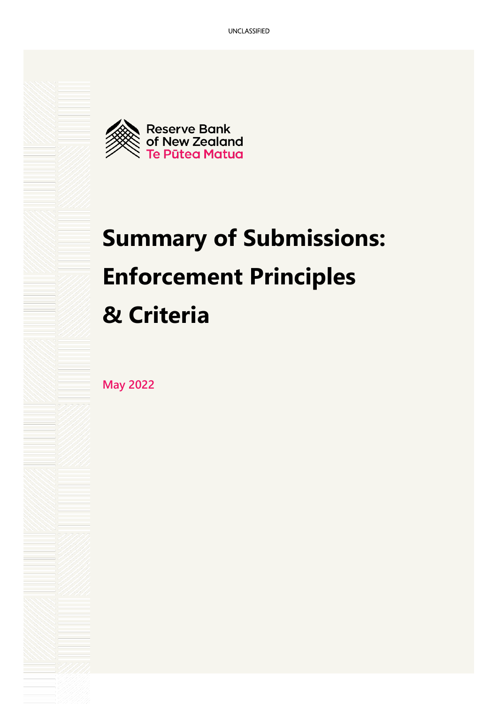

# **Summary of Submissions: Enforcement Principles & Criteria**

**May 2022**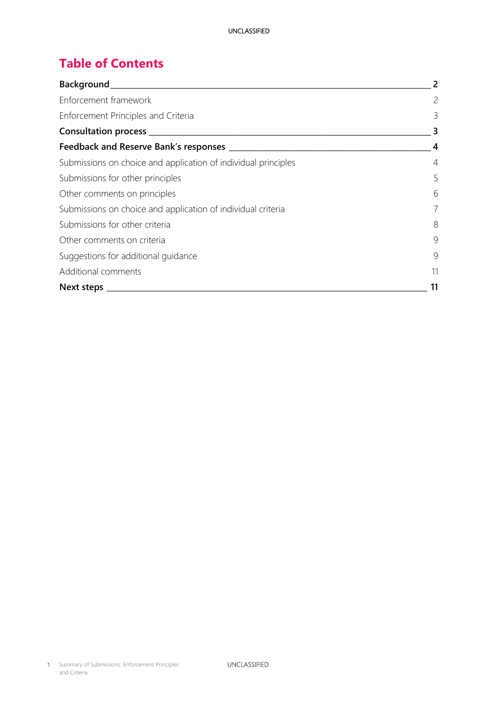# **Table of Contents**

| Background___                                                  | 2              |  |
|----------------------------------------------------------------|----------------|--|
| Enforcement framework                                          | $\overline{c}$ |  |
| Enforcement Principles and Criteria                            | 3              |  |
| Consultation process __                                        | 3              |  |
| Feedback and Reserve Bank's responses ____                     |                |  |
| Submissions on choice and application of individual principles | 4              |  |
| Submissions for other principles                               | 5              |  |
| Other comments on principles                                   | 6              |  |
| Submissions on choice and application of individual criteria   |                |  |
| Submissions for other criteria                                 | 8              |  |
| Other comments on criteria                                     | 9              |  |
| Suggestions for additional guidance                            | 9              |  |
| Additional comments                                            |                |  |
| Next steps                                                     |                |  |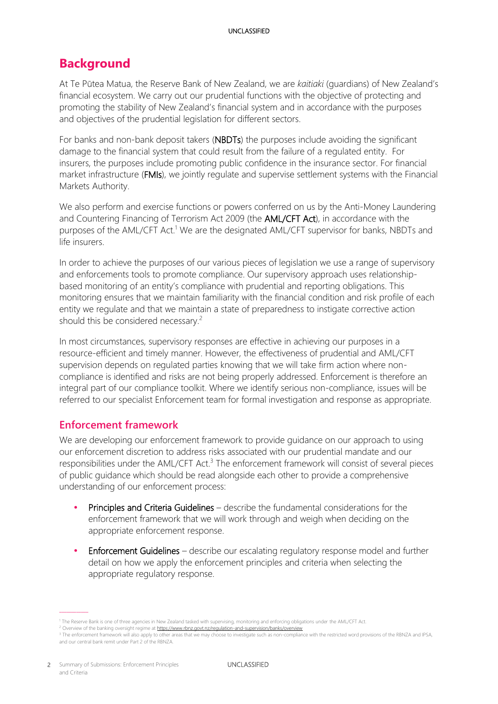# <span id="page-2-0"></span>**Background**

At Te Pūtea Matua, the Reserve Bank of New Zealand, we are *kaitiaki* (guardians) of New Zealand's financial ecosystem. We carry out our prudential functions with the objective of protecting and promoting the stability of New Zealand's financial system and in accordance with the purposes and objectives of the prudential legislation for different sectors.

For banks and non-bank deposit takers (NBDTs) the purposes include avoiding the significant damage to the financial system that could result from the failure of a regulated entity. For insurers, the purposes include promoting public confidence in the insurance sector. For financial market infrastructure (FMIs), we jointly regulate and supervise settlement systems with the Financial Markets Authority.

We also perform and exercise functions or powers conferred on us by the Anti-Money Laundering and Countering Financing of Terrorism Act 2009 (the **AML/CFT Act**), in accordance with the purposes of the AML/CFT Act.<sup>1</sup> We are the designated AML/CFT supervisor for banks, NBDTs and life insurers.

In order to achieve the purposes of our various pieces of legislation we use a range of supervisory and enforcements tools to promote compliance. Our supervisory approach uses relationshipbased monitoring of an entity's compliance with prudential and reporting obligations. This monitoring ensures that we maintain familiarity with the financial condition and risk profile of each entity we regulate and that we maintain a state of preparedness to instigate corrective action should this be considered necessary.<sup>2</sup>

In most circumstances, supervisory responses are effective in achieving our purposes in a resource-efficient and timely manner. However, the effectiveness of prudential and AML/CFT supervision depends on regulated parties knowing that we will take firm action where noncompliance is identified and risks are not being properly addressed. Enforcement is therefore an integral part of our compliance toolkit. Where we identify serious non-compliance, issues will be referred to our specialist Enforcement team for formal investigation and response as appropriate.

## <span id="page-2-1"></span>**Enforcement framework**

We are developing our enforcement framework to provide guidance on our approach to using our enforcement discretion to address risks associated with our prudential mandate and our responsibilities under the AML/CFT Act.<sup>3</sup> The enforcement framework will consist of several pieces of public guidance which should be read alongside each other to provide a comprehensive understanding of our enforcement process:

- Principles and Criteria Guidelines describe the fundamental considerations for the enforcement framework that we will work through and weigh when deciding on the appropriate enforcement response.
- Enforcement Guidelines describe our escalating regulatory response model and further detail on how we apply the enforcement principles and criteria when selecting the appropriate regulatory response.

<sup>1</sup> The Reserve Bank is one of three agencies in New Zealand tasked with supervising, monitoring and enforcing obligations under the AML/CFT Act.

<sup>&</sup>lt;sup>2</sup> Overview of the banking oversight regime a[t https://www.rbnz.govt.nz/regulation-and-supervision/banks/overview](https://www.rbnz.govt.nz/regulation-and-supervision/banks/overview)

<sup>&</sup>lt;sup>3</sup> The enforcement framework will also apply to other areas that we may choose to investigate such as non-compliance with the restricted word provisions of the RBNZA and IPSA, and our central bank remit under Part 2 of the RBNZA.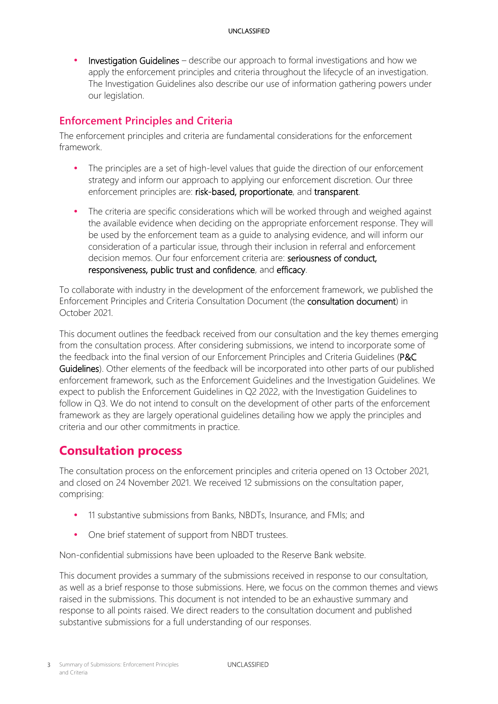Investigation Guidelines – describe our approach to formal investigations and how we apply the enforcement principles and criteria throughout the lifecycle of an investigation. The Investigation Guidelines also describe our use of information gathering powers under our legislation.

# <span id="page-3-0"></span>**Enforcement Principles and Criteria**

The enforcement principles and criteria are fundamental considerations for the enforcement framework.

- The principles are a set of high-level values that guide the direction of our enforcement strategy and inform our approach to applying our enforcement discretion. Our three enforcement principles are: risk-based, proportionate, and transparent.
- The criteria are specific considerations which will be worked through and weighed against the available evidence when deciding on the appropriate enforcement response. They will be used by the enforcement team as a guide to analysing evidence, and will inform our consideration of a particular issue, through their inclusion in referral and enforcement decision memos. Our four enforcement criteria are: seriousness of conduct, responsiveness, public trust and confidence, and efficacy.

To collaborate with industry in the development of the enforcement framework, we published the Enforcement Principles and Criteria Consultation Document (the consultation document) in October 2021.

This document outlines the feedback received from our consultation and the key themes emerging from the consultation process. After considering submissions, we intend to incorporate some of the feedback into the final version of our Enforcement Principles and Criteria Guidelines (P&C Guidelines). Other elements of the feedback will be incorporated into other parts of our published enforcement framework, such as the Enforcement Guidelines and the Investigation Guidelines. We expect to publish the Enforcement Guidelines in Q2 2022, with the Investigation Guidelines to follow in Q3. We do not intend to consult on the development of other parts of the enforcement framework as they are largely operational guidelines detailing how we apply the principles and criteria and our other commitments in practice.

# <span id="page-3-1"></span>**Consultation process**

The consultation process on the enforcement principles and criteria opened on 13 October 2021, and closed on 24 November 2021. We received 12 submissions on the consultation paper, comprising:

- 11 substantive submissions from Banks, NBDTs, Insurance, and FMIs; and
- One brief statement of support from NBDT trustees.

Non-confidential submissions have been uploaded to the Reserve Bank website.

This document provides a summary of the submissions received in response to our consultation, as well as a brief response to those submissions. Here, we focus on the common themes and views raised in the submissions. This document is not intended to be an exhaustive summary and response to all points raised. We direct readers to the consultation document and published substantive submissions for a full understanding of our responses.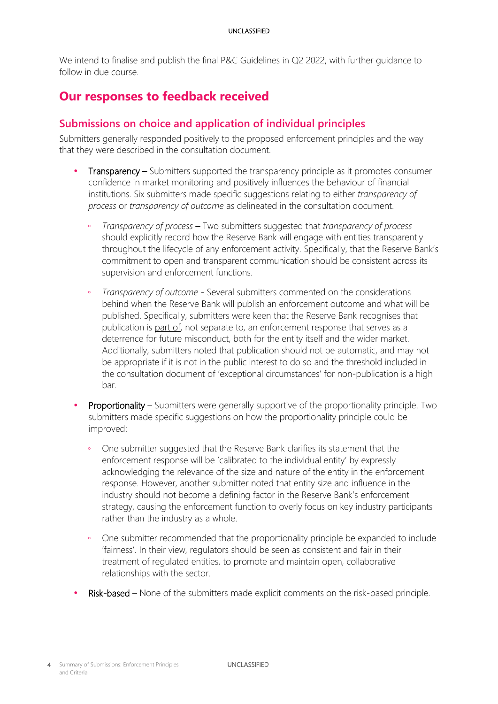We intend to finalise and publish the final P&C Guidelines in Q2 2022, with further quidance to follow in due course.

# <span id="page-4-0"></span>**Our responses to feedback received**

## <span id="page-4-1"></span>**Submissions on choice and application of individual principles**

Submitters generally responded positively to the proposed enforcement principles and the way that they were described in the consultation document.

- Transparency Submitters supported the transparency principle as it promotes consumer confidence in market monitoring and positively influences the behaviour of financial institutions. Six submitters made specific suggestions relating to either *transparency of process* or *transparency of outcome* as delineated in the consultation document.
	- *Transparency of process* Two submitters suggested that *transparency of process* should explicitly record how the Reserve Bank will engage with entities transparently throughout the lifecycle of any enforcement activity. Specifically, that the Reserve Bank's commitment to open and transparent communication should be consistent across its supervision and enforcement functions.
	- *Transparency of outcome* Several submitters commented on the considerations behind when the Reserve Bank will publish an enforcement outcome and what will be published. Specifically, submitters were keen that the Reserve Bank recognises that publication is part of, not separate to, an enforcement response that serves as a deterrence for future misconduct, both for the entity itself and the wider market. Additionally, submitters noted that publication should not be automatic, and may not be appropriate if it is not in the public interest to do so and the threshold included in the consultation document of 'exceptional circumstances' for non-publication is a high bar.
- Proportionality Submitters were generally supportive of the proportionality principle. Two submitters made specific suggestions on how the proportionality principle could be improved:
	- One submitter suggested that the Reserve Bank clarifies its statement that the enforcement response will be 'calibrated to the individual entity' by expressly acknowledging the relevance of the size and nature of the entity in the enforcement response. However, another submitter noted that entity size and influence in the industry should not become a defining factor in the Reserve Bank's enforcement strategy, causing the enforcement function to overly focus on key industry participants rather than the industry as a whole.
	- One submitter recommended that the proportionality principle be expanded to include 'fairness'. In their view, regulators should be seen as consistent and fair in their treatment of regulated entities, to promote and maintain open, collaborative relationships with the sector.
- Risk-based None of the submitters made explicit comments on the risk-based principle.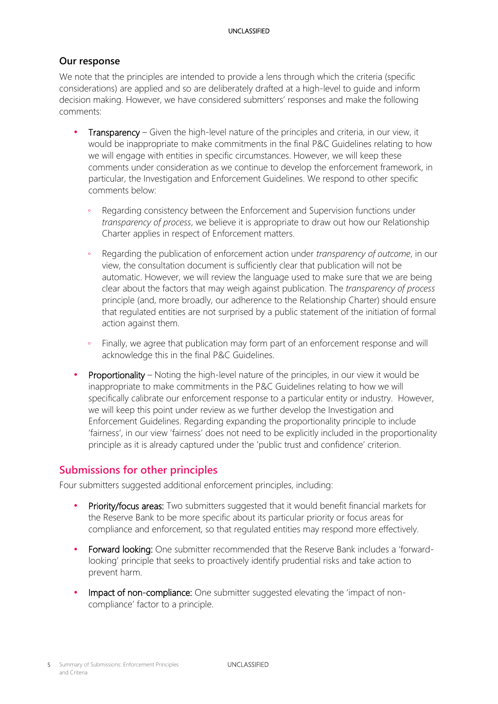## **Our response**

We note that the principles are intended to provide a lens through which the criteria (specific considerations) are applied and so are deliberately drafted at a high-level to guide and inform decision making. However, we have considered submitters' responses and make the following comments:

- Transparency Given the high-level nature of the principles and criteria, in our view, it would be inappropriate to make commitments in the final P&C Guidelines relating to how we will engage with entities in specific circumstances. However, we will keep these comments under consideration as we continue to develop the enforcement framework, in particular, the Investigation and Enforcement Guidelines. We respond to other specific comments below:
	- Regarding consistency between the Enforcement and Supervision functions under *transparency of process*, we believe it is appropriate to draw out how our Relationship Charter applies in respect of Enforcement matters.
	- Regarding the publication of enforcement action under *transparency of outcome*, in our view, the consultation document is sufficiently clear that publication will not be automatic. However, we will review the language used to make sure that we are being clear about the factors that may weigh against publication. The *transparency of process* principle (and, more broadly, our adherence to the Relationship Charter) should ensure that regulated entities are not surprised by a public statement of the initiation of formal action against them.
	- Finally, we agree that publication may form part of an enforcement response and will acknowledge this in the final P&C Guidelines.
- Proportionality Noting the high-level nature of the principles, in our view it would be inappropriate to make commitments in the P&C Guidelines relating to how we will specifically calibrate our enforcement response to a particular entity or industry. However, we will keep this point under review as we further develop the Investigation and Enforcement Guidelines. Regarding expanding the proportionality principle to include 'fairness', in our view 'fairness' does not need to be explicitly included in the proportionality principle as it is already captured under the 'public trust and confidence' criterion.

## <span id="page-5-0"></span>**Submissions for other principles**

Four submitters suggested additional enforcement principles, including:

- Priority/focus areas: Two submitters suggested that it would benefit financial markets for the Reserve Bank to be more specific about its particular priority or focus areas for compliance and enforcement, so that regulated entities may respond more effectively.
- Forward looking: One submitter recommended that the Reserve Bank includes a 'forwardlooking' principle that seeks to proactively identify prudential risks and take action to prevent harm.
- Impact of non-compliance: One submitter suggested elevating the 'impact of noncompliance' factor to a principle.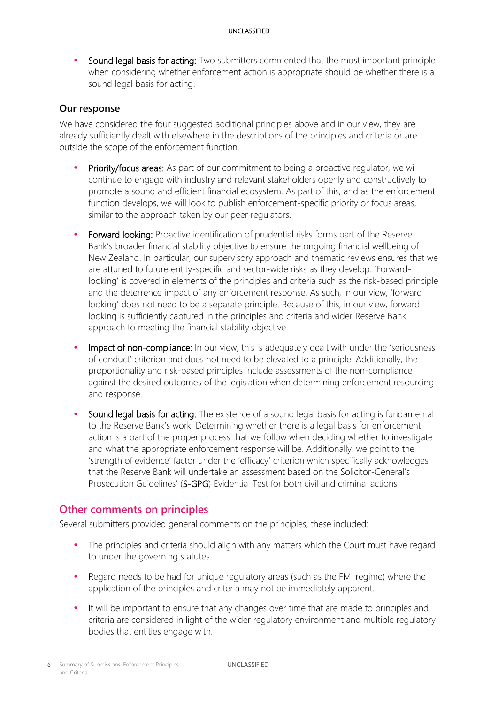• Sound legal basis for acting: Two submitters commented that the most important principle when considering whether enforcement action is appropriate should be whether there is a sound legal basis for acting.

## **Our response**

We have considered the four suggested additional principles above and in our view, they are already sufficiently dealt with elsewhere in the descriptions of the principles and criteria or are outside the scope of the enforcement function.

- Priority/focus areas: As part of our commitment to being a proactive regulator, we will continue to engage with industry and relevant stakeholders openly and constructively to promote a sound and efficient financial ecosystem. As part of this, and as the enforcement function develops, we will look to publish enforcement-specific priority or focus areas, similar to the approach taken by our peer regulators.
- Forward looking: Proactive identification of prudential risks forms part of the Reserve Bank's broader financial stability objective to ensure the ongoing financial wellbeing of New Zealand. In particular, our [supervisory approach](https://www.rbnz.govt.nz/regulation-and-supervision/statements-of-approaches/statement-of-supervisory-approach) and [thematic reviews](https://www.rbnz.govt.nz/regulation-and-supervision/thematic-reviews) ensures that we are attuned to future entity-specific and sector-wide risks as they develop. 'Forwardlooking' is covered in elements of the principles and criteria such as the risk-based principle and the deterrence impact of any enforcement response. As such, in our view, 'forward looking' does not need to be a separate principle. Because of this, in our view, forward looking is sufficiently captured in the principles and criteria and wider Reserve Bank approach to meeting the financial stability objective.
- Impact of non-compliance: In our view, this is adequately dealt with under the 'seriousness of conduct' criterion and does not need to be elevated to a principle. Additionally, the proportionality and risk-based principles include assessments of the non-compliance against the desired outcomes of the legislation when determining enforcement resourcing and response.
- Sound legal basis for acting: The existence of a sound legal basis for acting is fundamental to the Reserve Bank's work. Determining whether there is a legal basis for enforcement action is a part of the proper process that we follow when deciding whether to investigate and what the appropriate enforcement response will be. Additionally, we point to the 'strength of evidence' factor under the 'efficacy' criterion which specifically acknowledges that the Reserve Bank will undertake an assessment based on the Solicitor-General's Prosecution Guidelines' (S-GPG) Evidential Test for both civil and criminal actions.

## <span id="page-6-0"></span>**Other comments on principles**

Several submitters provided general comments on the principles, these included:

- The principles and criteria should align with any matters which the Court must have regard to under the governing statutes.
- Regard needs to be had for unique regulatory areas (such as the FMI regime) where the application of the principles and criteria may not be immediately apparent.
- It will be important to ensure that any changes over time that are made to principles and criteria are considered in light of the wider regulatory environment and multiple regulatory bodies that entities engage with.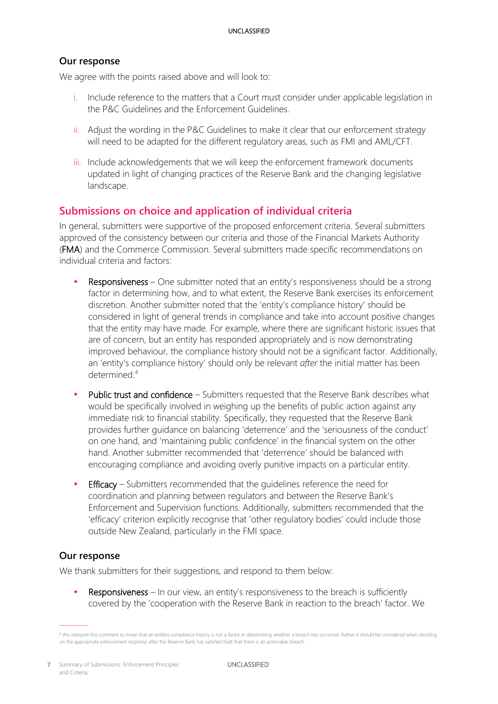## **Our response**

We agree with the points raised above and will look to:

- i. Include reference to the matters that a Court must consider under applicable legislation in the P&C Guidelines and the Enforcement Guidelines.
- ii. Adjust the wording in the P&C Guidelines to make it clear that our enforcement strategy will need to be adapted for the different regulatory areas, such as FMI and AML/CFT.
- iii. Include acknowledgements that we will keep the enforcement framework documents updated in light of changing practices of the Reserve Bank and the changing legislative landscape.

## <span id="page-7-0"></span>**Submissions on choice and application of individual criteria**

In general, submitters were supportive of the proposed enforcement criteria. Several submitters approved of the consistency between our criteria and those of the Financial Markets Authority (FMA) and the Commerce Commission. Several submitters made specific recommendations on individual criteria and factors:

- Responsiveness One submitter noted that an entity's responsiveness should be a strong factor in determining how, and to what extent, the Reserve Bank exercises its enforcement discretion. Another submitter noted that the 'entity's compliance history' should be considered in light of general trends in compliance and take into account positive changes that the entity may have made. For example, where there are significant historic issues that are of concern, but an entity has responded appropriately and is now demonstrating improved behaviour, the compliance history should not be a significant factor. Additionally, an 'entity's compliance history' should only be relevant *after* the initial matter has been determined. 4
- Public trust and confidence Submitters requested that the Reserve Bank describes what would be specifically involved in weighing up the benefits of public action against any immediate risk to financial stability. Specifically, they requested that the Reserve Bank provides further guidance on balancing 'deterrence' and the 'seriousness of the conduct' on one hand, and 'maintaining public confidence' in the financial system on the other hand. Another submitter recommended that 'deterrence' should be balanced with encouraging compliance and avoiding overly punitive impacts on a particular entity.
- Efficacy Submitters recommended that the guidelines reference the need for coordination and planning between regulators and between the Reserve Bank's Enforcement and Supervision functions. Additionally, submitters recommended that the 'efficacy' criterion explicitly recognise that 'other regulatory bodies' could include those outside New Zealand, particularly in the FMI space.

## **Our response**

We thank submitters for their suggestions, and respond to them below:

Responsiveness – In our view, an entity's responsiveness to the breach is sufficiently covered by the 'cooperation with the Reserve Bank in reaction to the breach' factor. We

<sup>4</sup> We interpret this comment to mean that an entities compliance history is not a factor in determining whether a breach has occurred. Rather it should be considered when deciding on the appropriate enforcement response after the Reserve Bank has satisfied itself that there is an actionable breach.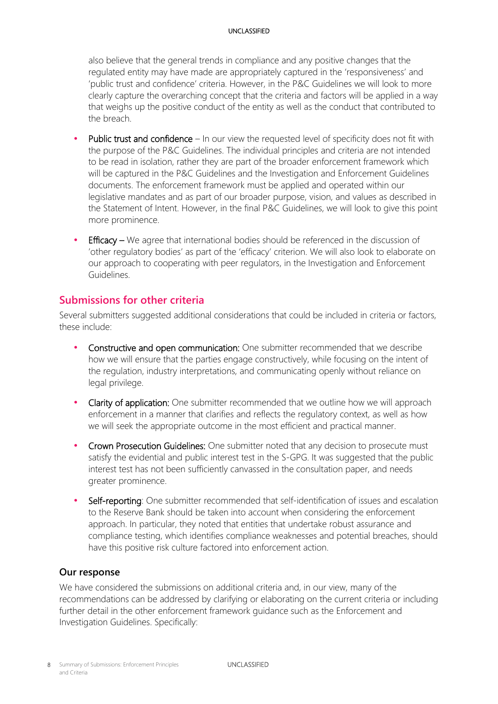also believe that the general trends in compliance and any positive changes that the regulated entity may have made are appropriately captured in the 'responsiveness' and 'public trust and confidence' criteria. However, in the P&C Guidelines we will look to more clearly capture the overarching concept that the criteria and factors will be applied in a way that weighs up the positive conduct of the entity as well as the conduct that contributed to the breach.

- Public trust and confidence In our view the requested level of specificity does not fit with the purpose of the P&C Guidelines. The individual principles and criteria are not intended to be read in isolation, rather they are part of the broader enforcement framework which will be captured in the P&C Guidelines and the Investigation and Enforcement Guidelines documents. The enforcement framework must be applied and operated within our legislative mandates and as part of our broader purpose, vision, and values as described in the Statement of Intent. However, in the final P&C Guidelines, we will look to give this point more prominence.
- Efficacy We agree that international bodies should be referenced in the discussion of 'other regulatory bodies' as part of the 'efficacy' criterion. We will also look to elaborate on our approach to cooperating with peer regulators, in the Investigation and Enforcement Guidelines.

## <span id="page-8-0"></span>**Submissions for other criteria**

Several submitters suggested additional considerations that could be included in criteria or factors, these include:

- Constructive and open communication: One submitter recommended that we describe how we will ensure that the parties engage constructively, while focusing on the intent of the regulation, industry interpretations, and communicating openly without reliance on legal privilege.
- Clarity of application: One submitter recommended that we outline how we will approach enforcement in a manner that clarifies and reflects the regulatory context, as well as how we will seek the appropriate outcome in the most efficient and practical manner.
- Crown Prosecution Guidelines: One submitter noted that any decision to prosecute must satisfy the evidential and public interest test in the S-GPG. It was suggested that the public interest test has not been sufficiently canvassed in the consultation paper, and needs greater prominence.
- Self-reporting: One submitter recommended that self-identification of issues and escalation to the Reserve Bank should be taken into account when considering the enforcement approach. In particular, they noted that entities that undertake robust assurance and compliance testing, which identifies compliance weaknesses and potential breaches, should have this positive risk culture factored into enforcement action.

## **Our response**

We have considered the submissions on additional criteria and, in our view, many of the recommendations can be addressed by clarifying or elaborating on the current criteria or including further detail in the other enforcement framework guidance such as the Enforcement and Investigation Guidelines. Specifically: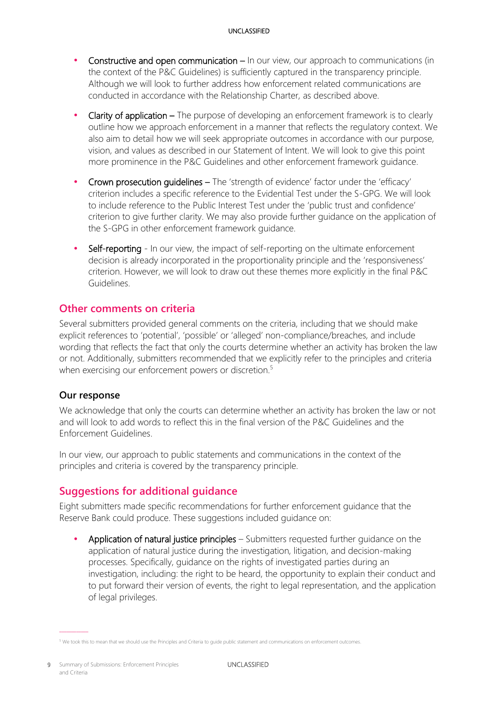- Constructive and open communication In our view, our approach to communications (in the context of the P&C Guidelines) is sufficiently captured in the transparency principle. Although we will look to further address how enforcement related communications are conducted in accordance with the Relationship Charter, as described above.
- Clarity of application The purpose of developing an enforcement framework is to clearly outline how we approach enforcement in a manner that reflects the regulatory context. We also aim to detail how we will seek appropriate outcomes in accordance with our purpose, vision, and values as described in our Statement of Intent. We will look to give this point more prominence in the P&C Guidelines and other enforcement framework guidance.
- Crown prosecution guidelines The 'strength of evidence' factor under the 'efficacy' criterion includes a specific reference to the Evidential Test under the S-GPG. We will look to include reference to the Public Interest Test under the 'public trust and confidence' criterion to give further clarity. We may also provide further guidance on the application of the S-GPG in other enforcement framework guidance.
- Self-reporting In our view, the impact of self-reporting on the ultimate enforcement decision is already incorporated in the proportionality principle and the 'responsiveness' criterion. However, we will look to draw out these themes more explicitly in the final P&C Guidelines.

## <span id="page-9-0"></span>**Other comments on criteria**

Several submitters provided general comments on the criteria, including that we should make explicit references to 'potential', 'possible' or 'alleged' non-compliance/breaches, and include wording that reflects the fact that only the courts determine whether an activity has broken the law or not. Additionally, submitters recommended that we explicitly refer to the principles and criteria when exercising our enforcement powers or discretion.<sup>5</sup>

## **Our response**

We acknowledge that only the courts can determine whether an activity has broken the law or not and will look to add words to reflect this in the final version of the P&C Guidelines and the Enforcement Guidelines.

In our view, our approach to public statements and communications in the context of the principles and criteria is covered by the transparency principle.

# <span id="page-9-1"></span>**Suggestions for additional guidance**

Eight submitters made specific recommendations for further enforcement guidance that the Reserve Bank could produce. These suggestions included guidance on:

 Application of natural justice principles – Submitters requested further guidance on the application of natural justice during the investigation, litigation, and decision-making processes. Specifically, guidance on the rights of investigated parties during an investigation, including: the right to be heard, the opportunity to explain their conduct and to put forward their version of events, the right to legal representation, and the application of legal privileges.

 $5$  We took this to mean that we should use the Principles and Criteria to quide public statement and communications on enforcement outcomes.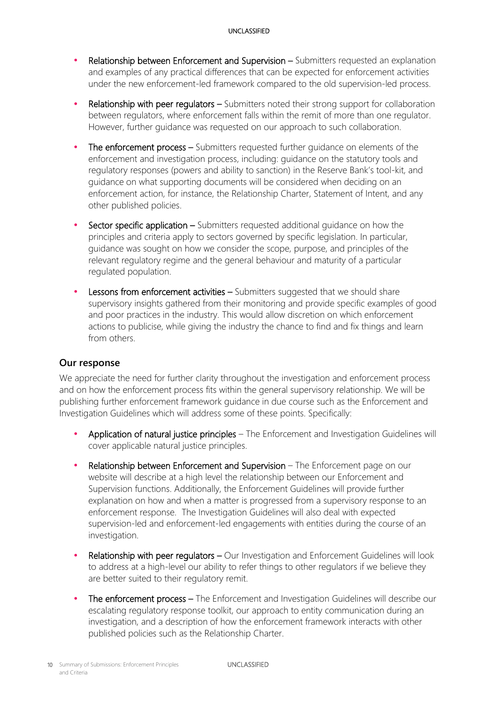- Relationship between Enforcement and Supervision Submitters requested an explanation and examples of any practical differences that can be expected for enforcement activities under the new enforcement-led framework compared to the old supervision-led process.
- Relationship with peer regulators Submitters noted their strong support for collaboration between regulators, where enforcement falls within the remit of more than one regulator. However, further guidance was requested on our approach to such collaboration.
- The enforcement process Submitters requested further guidance on elements of the enforcement and investigation process, including: guidance on the statutory tools and regulatory responses (powers and ability to sanction) in the Reserve Bank's tool-kit, and guidance on what supporting documents will be considered when deciding on an enforcement action, for instance, the Relationship Charter, Statement of Intent, and any other published policies.
- Sector specific application Submitters requested additional guidance on how the principles and criteria apply to sectors governed by specific legislation. In particular, guidance was sought on how we consider the scope, purpose, and principles of the relevant regulatory regime and the general behaviour and maturity of a particular regulated population.
- Lessons from enforcement activities Submitters suggested that we should share supervisory insights gathered from their monitoring and provide specific examples of good and poor practices in the industry. This would allow discretion on which enforcement actions to publicise, while giving the industry the chance to find and fix things and learn from others.

## **Our response**

We appreciate the need for further clarity throughout the investigation and enforcement process and on how the enforcement process fits within the general supervisory relationship. We will be publishing further enforcement framework guidance in due course such as the Enforcement and Investigation Guidelines which will address some of these points. Specifically:

- Application of natural justice principles The Enforcement and Investigation Guidelines will cover applicable natural justice principles.
- Relationship between Enforcement and Supervision The Enforcement page on our website will describe at a high level the relationship between our Enforcement and Supervision functions. Additionally, the Enforcement Guidelines will provide further explanation on how and when a matter is progressed from a supervisory response to an enforcement response. The Investigation Guidelines will also deal with expected supervision-led and enforcement-led engagements with entities during the course of an investigation.
- Relationship with peer regulators Our Investigation and Enforcement Guidelines will look to address at a high-level our ability to refer things to other regulators if we believe they are better suited to their regulatory remit.
- The enforcement process The Enforcement and Investigation Guidelines will describe our escalating regulatory response toolkit, our approach to entity communication during an investigation, and a description of how the enforcement framework interacts with other published policies such as the Relationship Charter.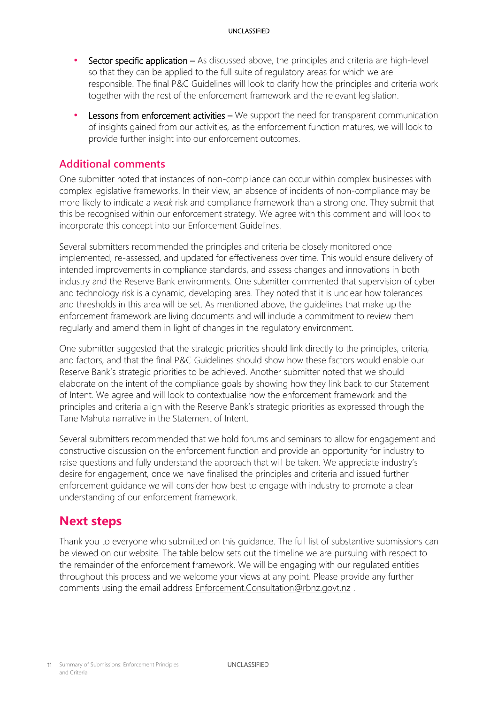- Sector specific application As discussed above, the principles and criteria are high-level so that they can be applied to the full suite of regulatory areas for which we are responsible. The final P&C Guidelines will look to clarify how the principles and criteria work together with the rest of the enforcement framework and the relevant legislation.
- Lessons from enforcement activities We support the need for transparent communication of insights gained from our activities, as the enforcement function matures, we will look to provide further insight into our enforcement outcomes.

## <span id="page-11-0"></span>**Additional comments**

One submitter noted that instances of non-compliance can occur within complex businesses with complex legislative frameworks. In their view, an absence of incidents of non-compliance may be more likely to indicate a *weak* risk and compliance framework than a strong one. They submit that this be recognised within our enforcement strategy. We agree with this comment and will look to incorporate this concept into our Enforcement Guidelines.

Several submitters recommended the principles and criteria be closely monitored once implemented, re-assessed, and updated for effectiveness over time. This would ensure delivery of intended improvements in compliance standards, and assess changes and innovations in both industry and the Reserve Bank environments. One submitter commented that supervision of cyber and technology risk is a dynamic, developing area. They noted that it is unclear how tolerances and thresholds in this area will be set. As mentioned above, the guidelines that make up the enforcement framework are living documents and will include a commitment to review them regularly and amend them in light of changes in the regulatory environment.

One submitter suggested that the strategic priorities should link directly to the principles, criteria, and factors, and that the final P&C Guidelines should show how these factors would enable our Reserve Bank's strategic priorities to be achieved. Another submitter noted that we should elaborate on the intent of the compliance goals by showing how they link back to our Statement of Intent. We agree and will look to contextualise how the enforcement framework and the principles and criteria align with the Reserve Bank's strategic priorities as expressed through the Tane Mahuta narrative in the Statement of Intent.

Several submitters recommended that we hold forums and seminars to allow for engagement and constructive discussion on the enforcement function and provide an opportunity for industry to raise questions and fully understand the approach that will be taken. We appreciate industry's desire for engagement, once we have finalised the principles and criteria and issued further enforcement guidance we will consider how best to engage with industry to promote a clear understanding of our enforcement framework.

# <span id="page-11-1"></span>**Next steps**

Thank you to everyone who submitted on this guidance. The full list of substantive submissions can be viewed on our website. The table below sets out the timeline we are pursuing with respect to the remainder of the enforcement framework. We will be engaging with our regulated entities throughout this process and we welcome your views at any point. Please provide any further comments using the email address [Enforcement.Consultation@rbnz.govt.nz](mailto:Enforcement.Consultation@rbnz.govt.nz).